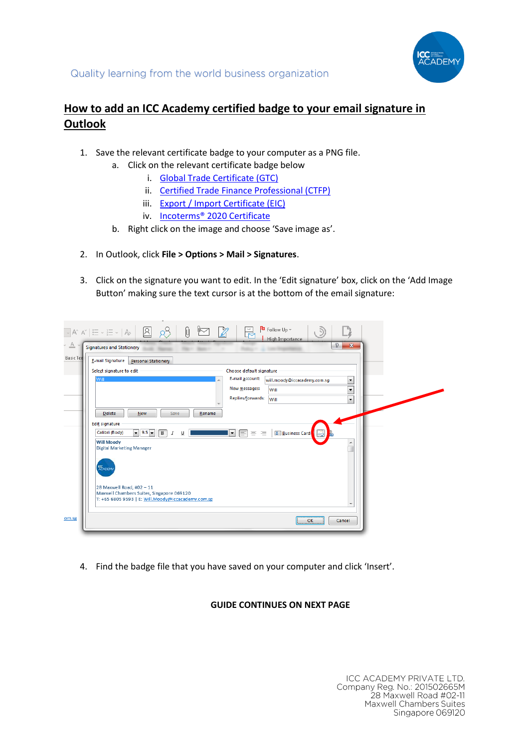

## **How to add an ICC Academy certified badge to your email signature in Outlook**

- 1. Save the relevant certificate badge to your computer as a PNG file.
	- a. Click on the relevant certificate badge below
		- i. [Global Trade Certificate \(GTC\)](https://icc.academy/wp-content/uploads/2020/08/ICC-Email-Badges-GTC.png)
		- ii. [Certified Trade Finance Professional \(CTFP\)](https://icc.academy/wp-content/uploads/2020/08/ICC-Email-Badges-CTFP.png)
		- iii. [Export / Import Certificate \(EIC\)](https://icc.academy/wp-content/uploads/2020/08/ICC-Email-Badges-EIC.png)
		- iv. [Incoterms® 2020 Certificate](https://icc.academy/wp-content/uploads/2020/08/ICC-Email-Badges-INCO.png)
	- b. Right click on the image and choose 'Save image as'.
- 2. In Outlook, click **File > Options > Mail > Signatures**.
- 3. Click on the signature you want to edit. In the 'Edit signature' box, click on the 'Add Image Button' making sure the text cursor is at the bottom of the email signature:

|                  | $\frac{p_0}{q_0}$ Follow Up $\sim$<br>Ū<br>$\mathop{\scriptstyle\sim}^{\mathop{\scriptstyle\sim}} \mathop{\rm A}^{\mathop{\scriptstyle\sim}} \mathop{\rm A}^{\mathop{\scriptstyle\sim}} \left  \begin{array}{@{\,\,}c@{\,\,}c@{\,\,}c@{\,\,}c@{\,\,}c@{\,\,}c@{\,\,}c@{\,\,}c@{\,\,}c@{\,\,}c@{\,\,}c@{\,\,}c@{\,\,}c@{\,\,}c@{\,\,}c@{\,\,}c@{\,\,}c@{\,\,}c@{\,\,}c@{\,\,}c@{\,\,}c@{\,\,}c@{\,\,}c@{\,\,}c@{\,\,}c@{\,\,}c@{\,\$<br>R<br>High Importance |
|------------------|-------------------------------------------------------------------------------------------------------------------------------------------------------------------------------------------------------------------------------------------------------------------------------------------------------------------------------------------------------------------------------------------------------------------------------------------------------------|
| $\triangle$      | P<br>$\mathbf{x}$<br><b>Signatures and Stationery</b>                                                                                                                                                                                                                                                                                                                                                                                                       |
| <b>Basic Tex</b> | E-mail Signature<br><b>Personal Stationery</b>                                                                                                                                                                                                                                                                                                                                                                                                              |
|                  | Select signature to edit<br>Choose default signature<br>E-mail account:                                                                                                                                                                                                                                                                                                                                                                                     |
|                  | Will<br>will.moody@iccacademy.com.sg<br>$\overline{\phantom{a}}$<br>New messages:<br>Will<br>$\overline{\phantom{a}}$                                                                                                                                                                                                                                                                                                                                       |
|                  | Replies/forwards:<br>Will<br>$\overline{\phantom{a}}$                                                                                                                                                                                                                                                                                                                                                                                                       |
|                  | <b>Delete</b><br>New<br>Save<br>Rename                                                                                                                                                                                                                                                                                                                                                                                                                      |
|                  | Edit signature<br><b>Business Card</b><br>$\bullet$ 9.5 $\bullet$<br>三 三<br>Calibri (Body)<br>$\mathbf{F}$<br>$\boxed{B}$<br>$\cal I$<br>$\underline{\mathsf{u}}$                                                                                                                                                                                                                                                                                           |
|                  | <b>Will Moody</b><br><b>Digital Marketing Manager</b>                                                                                                                                                                                                                                                                                                                                                                                                       |
|                  | <b>ICC</b><br>ACADEMY                                                                                                                                                                                                                                                                                                                                                                                                                                       |
|                  | 28 Maxwell Road, #02 - 11<br>Maxwell Chambers Suites, Singapore 069120<br>T: +65 6805 9593   E: Will.Moody@iccacademy.com.sg                                                                                                                                                                                                                                                                                                                                |
| om.sg            | OK<br>Cancel                                                                                                                                                                                                                                                                                                                                                                                                                                                |

4. Find the badge file that you have saved on your computer and click 'Insert'.

## **GUIDE CONTINUES ON NEXT PAGE**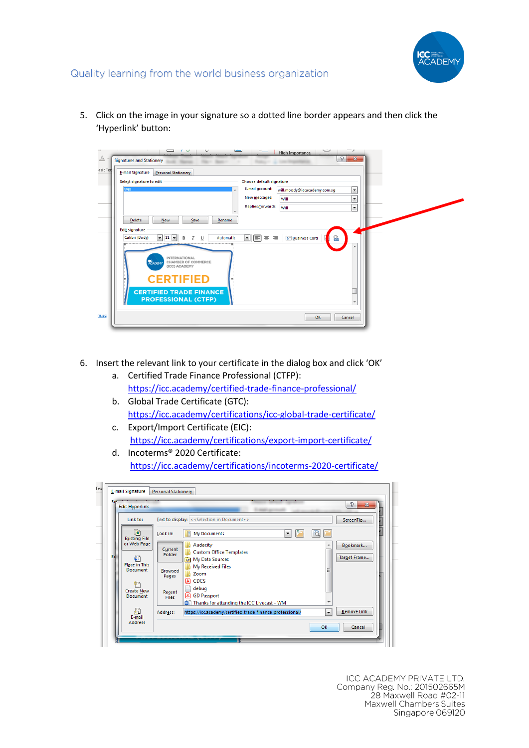

5. Click on the image in your signature so a dotted line border appears and then click the 'Hyperlink' button:



- 6. Insert the relevant link to your certificate in the dialog box and click 'OK'
	- a. Certified Trade Finance Professional (CTFP): <https://icc.academy/certified-trade-finance-professional/>
	- b. Global Trade Certificate (GTC): <https://icc.academy/certifications/icc-global-trade-certificate/>
	- c. Export/Import Certificate (EIC): <https://icc.academy/certifications/export-import-certificate/>
	- d. Incoterms® 2020 Certificate: <https://icc.academy/certifications/incoterms-2020-certificate/>

|    | <b>Edit Hyperlink</b>                |                        |                                                           |                          | P.<br>$\mathbf{x}$ |
|----|--------------------------------------|------------------------|-----------------------------------------------------------|--------------------------|--------------------|
|    | Link to:                             |                        | Text to display: << Selection in Document>>               |                          | ScreenTip          |
|    | $\mathbf{E}$<br><b>Existing File</b> | Look in:               | <b>My Documents</b><br>۰                                  | €                        |                    |
|    | or Web Page                          | Current                | Audacity                                                  | ▴                        | Bookmark           |
| Ed |                                      | Folder                 | <b>Custom Office Templates</b>                            |                          | Target Frame       |
|    | Ç.<br><b>Place in This</b>           |                        | <b>Ran</b> My Data Sources                                |                          |                    |
|    | <b>Document</b>                      | <b>Browsed</b>         | My Received Files                                         | Ξ                        |                    |
|    |                                      | Pages                  | Zoom<br>国<br><b>CDCS</b>                                  |                          |                    |
|    | 作り                                   |                        | debug<br>€                                                |                          |                    |
|    | <b>Create New</b><br>Document        | Recent<br><b>Files</b> | 国<br><b>GD Passport</b>                                   |                          |                    |
|    |                                      |                        | Thanks for attending the ICC Livecast - WM                | ۰                        |                    |
|    | $\mathbb{Z}$                         | Address:               | https://icc.academy/certified-trade-finance-professional/ | $\overline{\phantom{a}}$ | Remove Link        |
|    | $E$ -mail<br><b>Address</b>          |                        |                                                           |                          |                    |